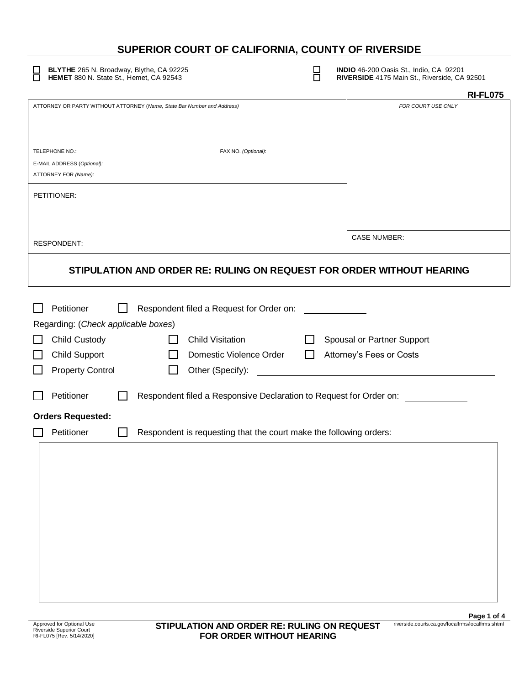# **SUPERIOR COURT OF CALIFORNIA, COUNTY OF RIVERSIDE**

**BLYTHE** 265 N. Broadway, Blythe, CA 92225 **INDIO** 46-200 Oasis St., Indio, CA 92201

**HEMET** 880 N. State St., Hemet, CA 92543 **RIVERSIDE** 4175 Main St., Riverside, CA 92501

|                                                                                  | <b>RI-FL075</b>            |
|----------------------------------------------------------------------------------|----------------------------|
| ATTORNEY OR PARTY WITHOUT ATTORNEY (Name, State Bar Number and Address)          | FOR COURT USE ONLY         |
|                                                                                  |                            |
|                                                                                  |                            |
| FAX NO. (Optional):<br>TELEPHONE NO.:<br>E-MAIL ADDRESS (Optional):              |                            |
| ATTORNEY FOR (Name):                                                             |                            |
| PETITIONER:                                                                      |                            |
|                                                                                  |                            |
|                                                                                  |                            |
| <b>RESPONDENT:</b>                                                               | <b>CASE NUMBER:</b>        |
| STIPULATION AND ORDER RE: RULING ON REQUEST FOR ORDER WITHOUT HEARING            |                            |
| Petitioner<br>Respondent filed a Request for Order on:                           |                            |
| Regarding: (Check applicable boxes)                                              |                            |
| Child Custody<br><b>Child Visitation</b>                                         | Spousal or Partner Support |
| <b>Child Support</b><br>Domestic Violence Order                                  | Attorney's Fees or Costs   |
| <b>Property Control</b><br>Other (Specify):                                      |                            |
| Petitioner<br>Respondent filed a Responsive Declaration to Request for Order on: |                            |
| <b>Orders Requested:</b>                                                         |                            |
|                                                                                  |                            |
| Petitioner<br>Respondent is requesting that the court make the following orders: |                            |
|                                                                                  |                            |
|                                                                                  |                            |
|                                                                                  |                            |
|                                                                                  |                            |
|                                                                                  |                            |
|                                                                                  |                            |
|                                                                                  |                            |
|                                                                                  |                            |
|                                                                                  |                            |
|                                                                                  |                            |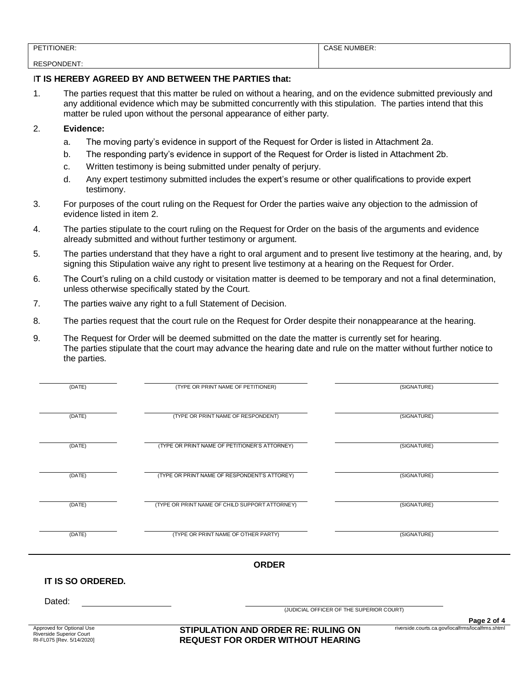| $\sim$ $\sim$<br>DE.    | $ - -$<br>NН |
|-------------------------|--------------|
|                         |              |
| DEC<br>דוח⊐רו∩ר<br>∵ت∟۰ |              |

#### I**T IS HEREBY AGREED BY AND BETWEEN THE PARTIES that:**

1. The parties request that this matter be ruled on without a hearing, and on the evidence submitted previously and any additional evidence which may be submitted concurrently with this stipulation. The parties intend that this matter be ruled upon without the personal appearance of either party.

### 2. **Evidence:**

- a. The moving party's evidence in support of the Request for Order is listed in Attachment 2a.
- b. The responding party's evidence in support of the Request for Order is listed in Attachment 2b.
- c. Written testimony is being submitted under penalty of perjury.
- d. Any expert testimony submitted includes the expert's resume or other qualifications to provide expert testimony.
- 3. For purposes of the court ruling on the Request for Order the parties waive any objection to the admission of evidence listed in item 2.
- 4. The parties stipulate to the court ruling on the Request for Order on the basis of the arguments and evidence already submitted and without further testimony or argument.
- 5. The parties understand that they have a right to oral argument and to present live testimony at the hearing, and, by signing this Stipulation waive any right to present live testimony at a hearing on the Request for Order.
- 6. The Court's ruling on a child custody or visitation matter is deemed to be temporary and not a final determination, unless otherwise specifically stated by the Court.
- 7. The parties waive any right to a full Statement of Decision.
- 8. The parties request that the court rule on the Request for Order despite their nonappearance at the hearing.
- 9. The Request for Order will be deemed submitted on the date the matter is currently set for hearing. The parties stipulate that the court may advance the hearing date and rule on the matter without further notice to the parties.

| (DATE)                                                                             | (TYPE OR PRINT NAME OF PETITIONER)                                                     | (SIGNATURE)                                       |             |
|------------------------------------------------------------------------------------|----------------------------------------------------------------------------------------|---------------------------------------------------|-------------|
|                                                                                    |                                                                                        |                                                   |             |
| (DATE)                                                                             | (TYPE OR PRINT NAME OF RESPONDENT)                                                     | (SIGNATURE)                                       |             |
|                                                                                    |                                                                                        |                                                   |             |
| (DATE)                                                                             | (TYPE OR PRINT NAME OF PETITIONER'S ATTORNEY)                                          | (SIGNATURE)                                       |             |
| (DATE)                                                                             | (TYPE OR PRINT NAME OF RESPONDENT'S ATTOREY)                                           | (SIGNATURE)                                       |             |
|                                                                                    |                                                                                        |                                                   |             |
| (DATE)                                                                             | (TYPE OR PRINT NAME OF CHILD SUPPORT ATTORNEY)                                         | (SIGNATURE)                                       |             |
|                                                                                    |                                                                                        |                                                   |             |
| (DATE)                                                                             | (TYPE OR PRINT NAME OF OTHER PARTY)                                                    | (SIGNATURE)                                       |             |
|                                                                                    | <b>ORDER</b>                                                                           |                                                   |             |
| IT IS SO ORDERED.                                                                  |                                                                                        |                                                   |             |
|                                                                                    |                                                                                        |                                                   |             |
| Dated:                                                                             | (JUDICIAL OFFICER OF THE SUPERIOR COURT)                                               |                                                   |             |
|                                                                                    |                                                                                        |                                                   | Page 2 of 4 |
| Approved for Optional Use<br>Riverside Superior Court<br>RI-FL075 [Rev. 5/14/2020] | <b>STIPULATION AND ORDER RE: RULING ON</b><br><b>REQUEST FOR ORDER WITHOUT HEARING</b> | riverside.courts.ca.gov/localfrms/localfrms.shtml |             |
|                                                                                    |                                                                                        |                                                   |             |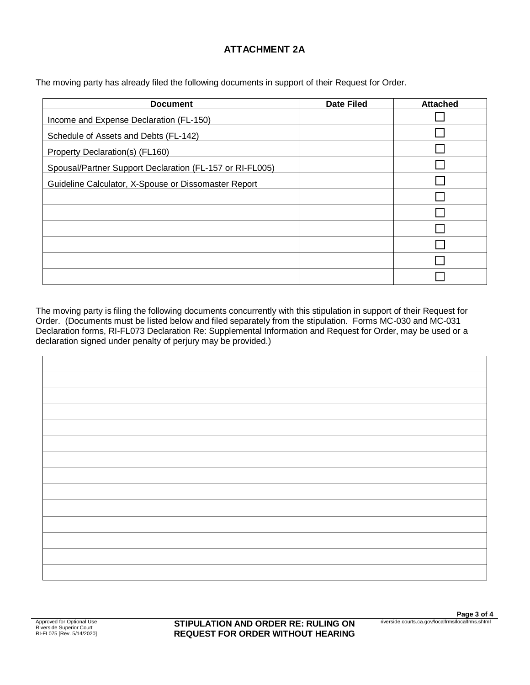## **ATTACHMENT 2A**

The moving party has already filed the following documents in support of their Request for Order.

| <b>Document</b>                                          | <b>Date Filed</b> | <b>Attached</b> |
|----------------------------------------------------------|-------------------|-----------------|
| Income and Expense Declaration (FL-150)                  |                   |                 |
| Schedule of Assets and Debts (FL-142)                    |                   |                 |
| Property Declaration(s) (FL160)                          |                   |                 |
| Spousal/Partner Support Declaration (FL-157 or RI-FL005) |                   |                 |
| Guideline Calculator, X-Spouse or Dissomaster Report     |                   |                 |
|                                                          |                   |                 |
|                                                          |                   |                 |
|                                                          |                   |                 |
|                                                          |                   |                 |
|                                                          |                   |                 |
|                                                          |                   |                 |

The moving party is filing the following documents concurrently with this stipulation in support of their Request for Order. (Documents must be listed below and filed separately from the stipulation. Forms MC-030 and MC-031 Declaration forms, RI-FL073 Declaration Re: Supplemental Information and Request for Order, may be used or a declaration signed under penalty of perjury may be provided.)